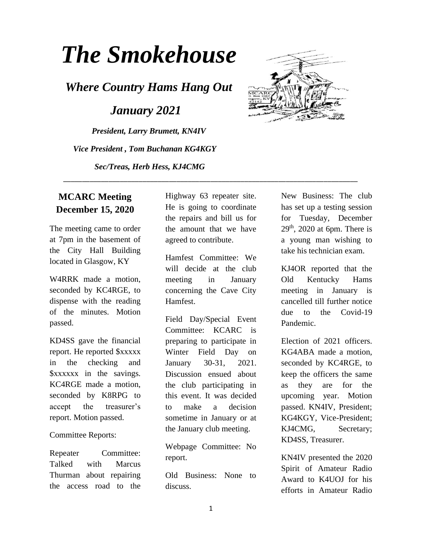# *The Smokehouse*

*Where Country Hams Hang Out*

 *January 2021*

*President, Larry Brumett, KN4IV Vice President , Tom Buchanan KG4KGY Sec/Treas, Herb Hess, KJ4CMG*



## **MCARC Meeting December 15, 2020**

The meeting came to order at 7pm in the basement of the City Hall Building located in Glasgow, KY

W4RRK made a motion, seconded by KC4RGE, to dispense with the reading of the minutes. Motion passed.

KD4SS gave the financial report. He reported \$xxxxx in the checking and \$xxxxxx in the savings. KC4RGE made a motion, seconded by K8RPG to accept the treasurer's report. Motion passed.

#### Committee Reports:

Repeater Committee: Talked with Marcus Thurman about repairing the access road to the

Highway 63 repeater site. He is going to coordinate the repairs and bill us for the amount that we have agreed to contribute.

\_\_\_\_\_\_\_\_\_\_\_\_\_\_\_\_\_\_\_\_\_\_\_\_\_\_\_\_\_\_\_\_\_\_\_\_\_\_\_\_\_\_\_\_\_\_\_\_\_\_\_\_\_\_\_\_\_\_\_\_\_\_\_\_\_\_\_\_\_\_\_\_\_\_\_\_\_\_

Hamfest Committee: We will decide at the club meeting in January concerning the Cave City Hamfest.

Field Day/Special Event Committee: KCARC is preparing to participate in Winter Field Day on January 30-31, 2021. Discussion ensued about the club participating in this event. It was decided to make a decision sometime in January or at the January club meeting.

Webpage Committee: No report.

Old Business: None to discuss.

New Business: The club has set up a testing session for Tuesday, December  $29<sup>th</sup>$ , 2020 at 6pm. There is a young man wishing to take his technician exam.

KJ4OR reported that the Old Kentucky Hams meeting in January is cancelled till further notice due to the Covid-19 Pandemic.

Election of 2021 officers. KG4ABA made a motion, seconded by KC4RGE, to keep the officers the same as they are for the upcoming year. Motion passed. KN4IV, President; KG4KGY, Vice-President; KJ4CMG, Secretary; KD4SS, Treasurer.

KN4IV presented the 2020 Spirit of Amateur Radio Award to K4UOJ for his efforts in Amateur Radio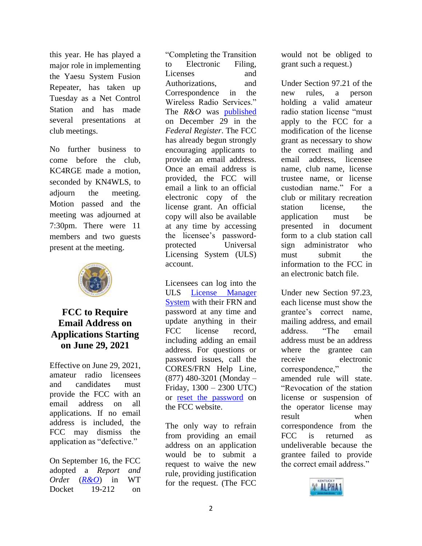this year. He has played a major role in implementing the Yaesu System Fusion Repeater, has taken up Tuesday as a Net Control Station and has made several presentations at club meetings.

No further business to come before the club, KC4RGE made a motion, seconded by KN4WLS, to adjourn the meeting. Motion passed and the meeting was adjourned at 7:30pm. There were 11 members and two guests present at the meeting.



#### **FCC to Require Email Address on Applications Starting on June 29, 2021**

Effective on June 29, 2021, amateur radio licensees and candidates must provide the FCC with an email address on all applications. If no email address is included, the FCC may dismiss the application as "defective."

On September 16, the FCC adopted a *Report and Orde*r (*[R&O](https://www.fcc.gov/document/fcc-adopts-electronic-licensing-report-and-order)*) in WT Docket 19-212 on

"Completing the Transition to Electronic Filing, Licenses and Authorizations, and Correspondence in the Wireless Radio Services." The *R&O* was [published](https://www.federalregister.gov/documents/2020/12/29/2020-28779/completing-the-transition-to-electronic-filing-licenses-and-authorizations-and-correspondence-in-the) on December 29 in the *Federal Register*. The FCC has already begun strongly encouraging applicants to provide an email address. Once an email address is provided, the FCC will email a link to an official electronic copy of the license grant. An official copy will also be available at any time by accessing the licensee's passwordprotected Universal Licensing System (ULS) account.

Licensees can log into the ULS [License Manager](https://wireless2.fcc.gov/UlsEntry/licManager/login.jsp)  [System](https://wireless2.fcc.gov/UlsEntry/licManager/login.jsp) with their FRN and password at any time and update anything in their FCC license record, including adding an email address. For questions or password issues, call the CORES/FRN Help Line, (877) 480-3201 (Monday – Friday, 1300 – 2300 UTC) or [reset the password](https://www.fcc.gov/wireless/available-support-services) on the FCC website.

The only way to refrain from providing an email address on an application would be to submit a request to waive the new rule, providing justification for the request. (The FCC

would not be obliged to grant such a request.)

Under Section 97.21 of the new rules, a person holding a valid amateur radio station license "must apply to the FCC for a modification of the license grant as necessary to show the correct mailing and email address, licensee name, club name, license trustee name, or license custodian name." For a club or military recreation station license, the application must be presented in document form to a club station call sign administrator who must submit the information to the FCC in an electronic batch file.

Under new Section 97.23, each license must show the grantee's correct name, mailing address, and email address. "The email address must be an address where the grantee can receive electronic correspondence," the amended rule will state. "Revocation of the station license or suspension of the operator license may result when correspondence from the FCC is returned as undeliverable because the grantee failed to provide the correct email address."

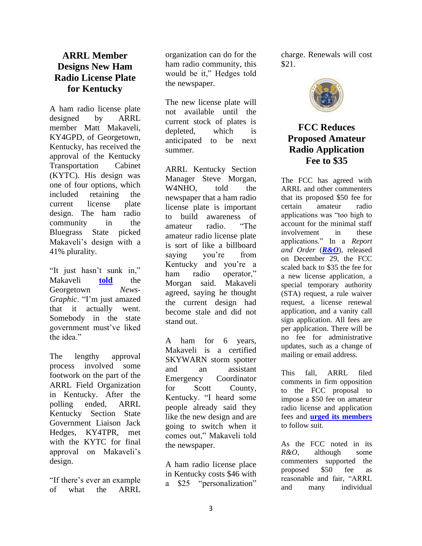### **ARRL Member Designs New Ham Radio License Plate for Kentucky**

A ham radio license plate designed by ARRL member Matt Makaveli, KY4GPD, of Georgetown, Kentucky, has received the approval of the Kentucky Transportation Cabinet (KYTC). His design was one of four options, which included retaining the current license plate design. The ham radio community in the Bluegrass State picked Makaveli's design with a 41% plurality.

"It just hasn't sunk in," Makaveli **[told](https://www.news-graphic.com/news/makaveli-designs-new-amateur-radio-state-license-plate/article_f75668d0-43cf-11eb-9452-53b9b8dc6f6b.html)** the Georgetown *News-Graphic*. "I'm just amazed that it actually went. Somebody in the state government must've liked the idea."

The lengthy approval process involved some footwork on the part of the ARRL Field Organization in Kentucky. After the polling ended, ARRL Kentucky Section State Government Liaison Jack Hedges, KY4TPR, met with the KYTC for final approval on Makaveli's design.

"If there's ever an example of what the ARRL

organization can do for the ham radio community, this would be it," Hedges told the newspaper.

The new license plate will not available until the current stock of plates is depleted, which is anticipated to be next summer.

ARRL Kentucky Section Manager Steve Morgan, W<sub>4</sub>NHO, told the newspaper that a ham radio license plate is important to build awareness of amateur radio. "The amateur radio license plate is sort of like a billboard saying you're from Kentucky and you're a ham radio operator," Morgan said. Makaveli agreed, saying he thought the current design had become stale and did not stand out.

A ham for 6 years, Makaveli is a certified SKYWARN storm spotter and an assistant Emergency Coordinator for Scott County, Kentucky. "I heard some people already said they like the new design and are going to switch when it comes out," Makaveli told the newspaper.

A ham radio license place in Kentucky costs \$46 with a \$25 "personalization" charge. Renewals will cost \$21.



# **FCC Reduces Proposed Amateur Radio Application Fee to \$35**

The FCC has agreed with ARRL and other commenters that its proposed \$50 fee for certain amateur radio applications was "too high to account for the minimal staff involvement in these applications." In a *Report and Order* (*[R&O](https://docs.fcc.gov/public/attachments/FCC-20-184A1.pdf)*), released on December 29, the FCC scaled back to \$35 the fee for a new license application, a special temporary authority (STA) request, a rule waiver request, a license renewal application, and a vanity call sign application. All fees are per application. There will be no fee for administrative updates, such as a change of mailing or email address.

This fall, ARRL filed comments in firm opposition to the FCC proposal to impose a \$50 fee on amateur radio license and application fees and **[urged its members](http://www.arrl.org/news/arrl-urges-members-to-join-in-strongly-opposing-fcc-s-application-fees-proposal)** to follow suit.

As the FCC noted in its *R&O*, although some commenters supported the proposed \$50 fee as reasonable and fair, "ARRL and many individual